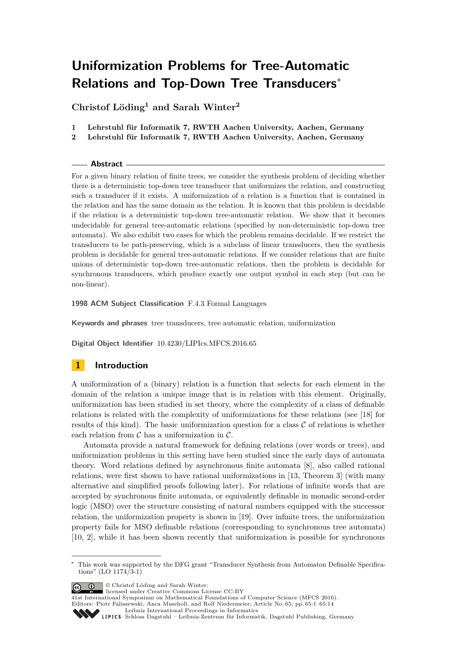# **Uniformization Problems for Tree-Automatic Relations and Top-Down Tree Transducers**<sup>∗</sup>

**Christof Löding<sup>1</sup> and Sarah Winter<sup>2</sup>**

- **1 Lehrstuhl für Informatik 7, RWTH Aachen University, Aachen, Germany**
- **2 Lehrstuhl für Informatik 7, RWTH Aachen University, Aachen, Germany**

## **Abstract**

For a given binary relation of finite trees, we consider the synthesis problem of deciding whether there is a deterministic top-down tree transducer that uniformizes the relation, and constructing such a transducer if it exists. A uniformization of a relation is a function that is contained in the relation and has the same domain as the relation. It is known that this problem is decidable if the relation is a deterministic top-down tree-automatic relation. We show that it becomes undecidable for general tree-automatic relations (specified by non-deterministic top-down tree automata). We also exhibit two cases for which the problem remains decidable. If we restrict the transducers to be path-preserving, which is a subclass of linear transducers, then the synthesis problem is decidable for general tree-automatic relations. If we consider relations that are finite unions of deterministic top-down tree-automatic relations, then the problem is decidable for synchronous transducers, which produce exactly one output symbol in each step (but can be non-linear).

**1998 ACM Subject Classification** F.4.3 Formal Languages

**Keywords and phrases** tree transducers, tree automatic relation, uniformization

**Digital Object Identifier** [10.4230/LIPIcs.MFCS.2016.65](http://dx.doi.org/10.4230/LIPIcs.MFCS.2016.65)

# **1 Introduction**

A uniformization of a (binary) relation is a function that selects for each element in the domain of the relation a unique image that is in relation with this element. Originally, uniformization has been studied in set theory, where the complexity of a class of definable relations is related with the complexity of uniformizations for these relations (see [\[18\]](#page-13-0) for results of this kind). The basic uniformization question for a class  $\mathcal C$  of relations is whether each relation from  $\mathcal C$  has a uniformization in  $\mathcal C$ .

Automata provide a natural framework for defining relations (over words or trees), and uniformization problems in this setting have been studied since the early days of automata theory. Word relations defined by asynchronous finite automata [\[8\]](#page-12-0), also called rational relations, were first shown to have rational uniformizations in [\[13,](#page-12-1) Theorem 3] (with many alternative and simplified proofs following later). For relations of infinite words that are accepted by synchronous finite automata, or equivalently definable in monadic second-order logic (MSO) over the structure consisting of natural numbers equipped with the successor relation, the uniformization property is shown in [\[19\]](#page-13-1). Over infinite trees, the uniformization property fails for MSO definable relations (corresponding to synchronous tree automata) [\[10,](#page-12-2) [2\]](#page-12-3), while it has been shown recently that uniformization is possible for synchronous

© Christof Löding and Sarah Winter;

licensed under Creative Commons License CC-BY

[Leibniz International Proceedings in Informatics](http://www.dagstuhl.de/lipics/)

<sup>∗</sup> This work was supported by the DFG grant "Transducer Synthesis from Automaton Definable Specifications" (LO 1174/3-1)

<sup>41</sup>st International Symposium on Mathematical Foundations of Computer Science (MFCS 2016). Editors: Piotr Faliszewski, Anca Muscholl, and Rolf Niedermeier; Article No. 65; pp. 65:1–65[:14](#page-13-2)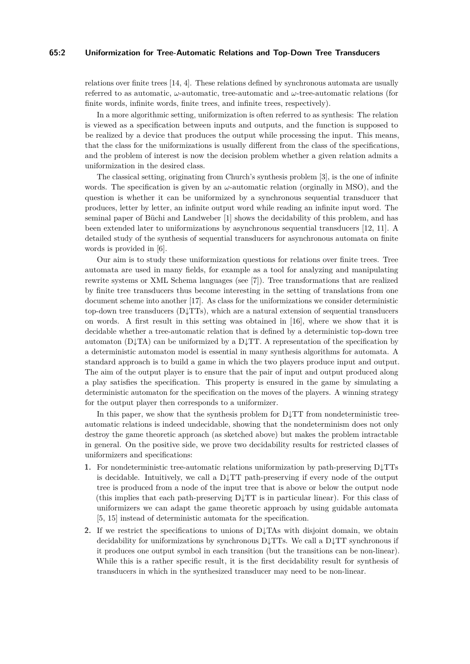#### **65:2 Uniformization for Tree-Automatic Relations and Top-Down Tree Transducers**

relations over finite trees [\[14,](#page-12-4) [4\]](#page-12-5). These relations defined by synchronous automata are usually referred to as automatic, *ω*-automatic, tree-automatic and *ω*-tree-automatic relations (for finite words, infinite words, finite trees, and infinite trees, respectively).

In a more algorithmic setting, uniformization is often referred to as synthesis: The relation is viewed as a specification between inputs and outputs, and the function is supposed to be realized by a device that produces the output while processing the input. This means, that the class for the uniformizations is usually different from the class of the specifications, and the problem of interest is now the decision problem whether a given relation admits a uniformization in the desired class.

The classical setting, originating from Church's synthesis problem [\[3\]](#page-12-6), is the one of infinite words. The specification is given by an  $\omega$ -automatic relation (orginally in MSO), and the question is whether it can be uniformized by a synchronous sequential transducer that produces, letter by letter, an infinite output word while reading an infinite input word. The seminal paper of Büchi and Landweber [\[1\]](#page-12-7) shows the decidability of this problem, and has been extended later to uniformizations by asynchronous sequential transducers [\[12,](#page-12-8) [11\]](#page-12-9). A detailed study of the synthesis of sequential transducers for asynchronous automata on finite words is provided in [\[6\]](#page-12-10).

Our aim is to study these uniformization questions for relations over finite trees. Tree automata are used in many fields, for example as a tool for analyzing and manipulating rewrite systems or XML Schema languages (see [\[7\]](#page-12-11)). Tree transformations that are realized by finite tree transducers thus become interesting in the setting of translations from one document scheme into another [\[17\]](#page-13-3). As class for the uniformizations we consider deterministic top-down tree transducers  $(D\downarrow TTs)$ , which are a natural extension of sequential transducers on words. A first result in this setting was obtained in [\[16\]](#page-13-4), where we show that it is decidable whether a tree-automatic relation that is defined by a deterministic top-down tree automaton ( $D\downarrow TA$ ) can be uniformized by a  $D\downarrow TT$ . A representation of the specification by a deterministic automaton model is essential in many synthesis algorithms for automata. A standard approach is to build a game in which the two players produce input and output. The aim of the output player is to ensure that the pair of input and output produced along a play satisfies the specification. This property is ensured in the game by simulating a deterministic automaton for the specification on the moves of the players. A winning strategy for the output player then corresponds to a uniformizer.

In this paper, we show that the synthesis problem for  $D\downarrow TT$  from nondeterministic treeautomatic relations is indeed undecidable, showing that the nondeterminism does not only destroy the game theoretic approach (as sketched above) but makes the problem intractable in general. On the positive side, we prove two decidability results for restricted classes of uniformizers and specifications:

- **1.** For nondeterministic tree-automatic relations uniformization by path-preserving D↓TTs is decidable. Intuitively, we call a  $D\downarrow TT$  path-preserving if every node of the output tree is produced from a node of the input tree that is above or below the output node (this implies that each path-preserving  $D \downarrow TT$  is in particular linear). For this class of uniformizers we can adapt the game theoretic approach by using guidable automata [\[5,](#page-12-12) [15\]](#page-12-13) instead of deterministic automata for the specification.
- **2.** If we restrict the specifications to unions of D↓TAs with disjoint domain, we obtain decidability for uniformizations by synchronous  $D\downarrow TTs$ . We call a  $D\downarrow TT$  synchronous if it produces one output symbol in each transition (but the transitions can be non-linear). While this is a rather specific result, it is the first decidability result for synthesis of transducers in which in the synthesized transducer may need to be non-linear.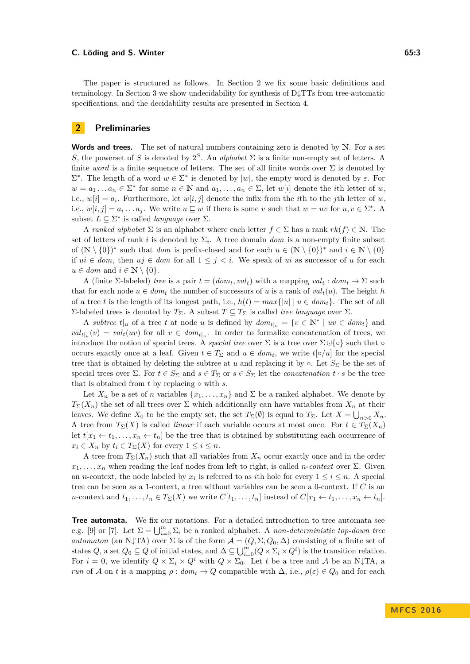#### **C. Löding and S. Winter 65:3 C.** Löding and S. Winter 65:3

The paper is structured as follows. In Section [2](#page-2-0) we fix some basic definitions and terminology. In Section [3](#page-5-0) we show undecidability for synthesis of D↓TTs from tree-automatic specifications, and the decidability results are presented in Section [4.](#page-6-0)

## <span id="page-2-0"></span>**2 Preliminaries**

**Words and trees.** The set of natural numbers containing zero is denoted by N. For a set *S*, the powerset of *S* is denoted by  $2^S$ . An *alphabet*  $\Sigma$  is a finite non-empty set of letters. A finite *word* is a finite sequence of letters. The set of all finite words over  $\Sigma$  is denoted by  $Σ<sup>*</sup>$ . The length of a word *w* ∈ Σ<sup>\*</sup> is denoted by |*w*|, the empty word is denoted by *ε*. For  $w = a_1 \dots a_n \in \Sigma^*$  for some  $n \in \mathbb{N}$  and  $a_1, \dots, a_n \in \Sigma$ , let  $w[i]$  denote the *i*<sup>th</sup> letter of *w*, i.e.,  $w[i] = a_i$ . Furthermore, let  $w[i, j]$  denote the infix from the *i*th to the *j*th letter of *w*, i.e.,  $w[i, j] = a_i \dots a_j$ . We write  $u \sqsubseteq w$  if there is some *v* such that  $w = uv$  for  $u, v \in \Sigma^*$ . A subset  $L \subseteq \Sigma^*$  is called *language* over  $\Sigma$ .

A *ranked alphabet*  $\Sigma$  is an alphabet where each letter  $f \in \Sigma$  has a rank  $rk(f) \in \mathbb{N}$ . The set of letters of rank *i* is denoted by  $\Sigma_i$ . A tree domain *dom* is a non-empty finite subset of  $(N \setminus \{0\})^*$  such that *dom* is prefix-closed and for each  $u \in (N \setminus \{0\})^*$  and  $i \in N \setminus \{0\}$ if *ui* ∈ *dom*, then *uj* ∈ *dom* for all 1 ≤ *j < i*. We speak of *ui* as successor of *u* for each  $u \in dom$  and  $i \in \mathbb{N} \setminus \{0\}.$ 

A (finite  $\Sigma$ -labeled) *tree* is a pair  $t = (dom_t, val_t)$  with a mapping  $val_t : dom_t \to \Sigma$  such that for each node  $u \in dom_t$  the number of successors of *u* is a rank of  $val_t(u)$ . The height *h* of a tree *t* is the length of its longest path, i.e.,  $h(t) = max\{|u| | u \in dom_t\}$ . The set of all Σ-labeled trees is denoted by *T*<sub>Σ</sub>. A subset *T* ⊆ *T*<sub>Σ</sub> is called *tree language* over Σ.

A *subtree*  $t|_u$  of a tree  $t$  at node  $u$  is defined by  $dom_{t|_u} = \{v \in \mathbb{N}^* \mid uv \in dom_t\}$  and  $val_{t|u}(v) = val_t(uv)$  for all  $v \in dom_{t|u}$ . In order to formalize concatenation of trees, we introduce the notion of special trees. A *special tree* over  $\Sigma$  is a tree over  $\Sigma \cup \{ \circ \}$  such that  $\circ$ occurs exactly once at a leaf. Given  $t \in T_{\Sigma}$  and  $u \in dom_t$ , we write  $t[\diamond/u]$  for the special tree that is obtained by deleting the subtree at *u* and replacing it by  $\circ$ . Let  $S_{\Sigma}$  be the set of special trees over  $\Sigma$ . For  $t \in S_{\Sigma}$  and  $s \in T_{\Sigma}$  or  $s \in S_{\Sigma}$  let the *concatenation*  $t \cdot s$  be the tree that is obtained from  $t$  by replacing  $\circ$  with  $s$ .

Let  $X_n$  be a set of *n* variables  $\{x_1, \ldots, x_n\}$  and  $\Sigma$  be a ranked alphabet. We denote by  $T_{\Sigma}(X_n)$  the set of all trees over  $\Sigma$  which additionally can have variables from  $X_n$  at their leaves. We define  $X_0$  to be the empty set, the set  $T_\Sigma(\emptyset)$  is equal to  $T_\Sigma$ . Let  $X = \bigcup_{n>0} X_n$ . A tree from  $T_{\Sigma}(X)$  is called *linear* if each variable occurs at most once. For  $t \in T_{\Sigma}(X_n)$ let  $t[x_1 \leftarrow t_1, \ldots, x_n \leftarrow t_n]$  be the tree that is obtained by substituting each occurrence of  $x_i \in X_n$  by  $t_i \in T_\Sigma(X)$  for every  $1 \leq i \leq n$ .

A tree from  $T_{\Sigma}(X_n)$  such that all variables from  $X_n$  occur exactly once and in the order  $x_1, \ldots, x_n$  when reading the leaf nodes from left to right, is called *n*-*context* over  $\Sigma$ . Given an *n*-context, the node labeled by  $x_i$  is referred to as *i*th hole for every  $1 \leq i \leq n$ . A special tree can be seen as a 1-context, a tree without variables can be seen a 0-context. If *C* is an *n*-context and  $t_1, \ldots, t_n \in T_{\Sigma}(X)$  we write  $C[t_1, \ldots, t_n]$  instead of  $C[x_1 \leftarrow t_1, \ldots, x_n \leftarrow t_n]$ .

**Tree automata.** We fix our notations. For a detailed introduction to tree automata see e.g. [\[9\]](#page-12-14) or [\[7\]](#page-12-11). Let  $\Sigma = \bigcup_{i=0}^{m} \Sigma_i$  be a ranked alphabet. A *non-deterministic top-down tree automaton* (an N↓TA) over  $\Sigma$  is of the form  $\mathcal{A} = (Q, \Sigma, Q_0, \Delta)$  consisting of a finite set of states  $Q$ , a set  $Q_0 \subseteq Q$  of initial states, and  $\Delta \subseteq \bigcup_{i=0}^m (Q \times \Sigma_i \times Q^i)$  is the transition relation. For  $i = 0$ , we identify  $Q \times \Sigma_i \times Q^i$  with  $Q \times \Sigma_0$ . Let t be a tree and A be an N $\downarrow$ TA, a *run* of A on *t* is a mapping  $\rho: dom_t \to Q$  compatible with  $\Delta$ , i.e.,  $\rho(\varepsilon) \in Q_0$  and for each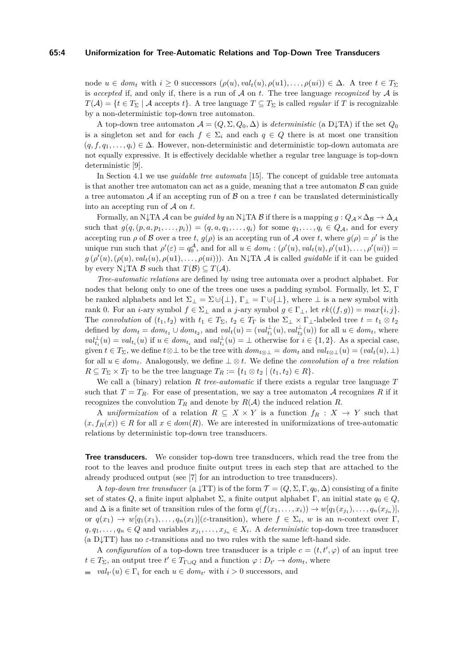#### **65:4 Uniformization for Tree-Automatic Relations and Top-Down Tree Transducers**

node  $u \in dom_t$  with  $i \geq 0$  successors  $(\rho(u), val_t(u), \rho(u1), \ldots, \rho(ui)) \in \Delta$ . A tree  $t \in T_{\Sigma}$ is *accepted* if, and only if, there is a run of  $A$  on  $t$ . The tree language *recognized* by  $A$  is  $T(A) = \{t \in T_\Sigma \mid A \text{ accepts } t\}.$  A tree language  $T \subseteq T_\Sigma$  is called *regular* if *T* is recognizable by a non-deterministic top-down tree automaton.

A top-down tree automaton  $A = (Q, \Sigma, Q_0, \Delta)$  is *deterministic* (a D $\downarrow$ TA) if the set  $Q_0$ is a singleton set and for each  $f \in \Sigma_i$  and each  $q \in Q$  there is at most one transition  $(q, f, q_1, \ldots, q_i) \in \Delta$ . However, non-deterministic and deterministic top-down automata are not equally expressive. It is effectively decidable whether a regular tree language is top-down deterministic [\[9\]](#page-12-14).

In Section [4.1](#page-6-1) we use *guidable tree automata* [\[15\]](#page-12-13). The concept of guidable tree automata is that another tree automaton can act as a guide, meaning that a tree automaton  $\beta$  can guide a tree automaton  $A$  if an accepting run of  $B$  on a tree  $t$  can be translated deterministically into an accepting run of A on *t*.

Formally, an N $\downarrow$ TA  $\mathcal A$  can be *guided by* an N $\downarrow$ TA  $\mathcal B$  if there is a mapping  $g: Q_{\mathcal A} \times \Delta_{\mathcal B} \to \Delta_{\mathcal A}$ such that  $g(q, (p, a, p_1, \ldots, p_i)) = (q, a, q_1, \ldots, q_i)$  for some  $q_1, \ldots, q_i \in Q_{\mathcal{A}}$ , and for every accepting run  $\rho$  of B over a tree t,  $g(\rho)$  is an accepting run of A over t, where  $g(\rho) = \rho'$  is the unique run such that  $\rho'(\varepsilon) = q_0^{\mathcal{A}},$  and for all  $u \in dom_t : (\rho'(u), val_t(u), \rho'(u1), \ldots, \rho'(ui)) =$  $g(\rho'(u), (\rho(u), val_t(u), \rho(u1), \ldots, \rho(ui)))$ . An N $\downarrow$ TA A is called *guidable* if it can be guided by every N $\downarrow$ TA B such that  $T(\mathcal{B}) \subseteq T(\mathcal{A})$ .

*Tree-automatic relations* are defined by using tree automata over a product alphabet. For nodes that belong only to one of the trees one uses a padding symbol. Formally, let  $\Sigma$ , Γ be ranked alphabets and let  $\Sigma_{\perp} = \Sigma \cup \{\perp\}, \Gamma_{\perp} = \Gamma \cup \{\perp\}, \text{ where } \perp \text{ is a new symbol with }$ rank 0. For an *i*-ary symbol  $f \in \Sigma_{\perp}$  and a *j*-ary symbol  $g \in \Gamma_{\perp}$ , let  $rk((f,g)) = max\{i, j\}$ . The *convolution* of  $(t_1, t_2)$  with  $t_1 \in T_{\Sigma}$ ,  $t_2 \in T_{\Gamma}$  is the  $\Sigma_{\bot} \times \Gamma_{\bot}$ -labeled tree  $t = t_1 \otimes t_2$ defined by  $dom_t = dom_{t_1} \cup dom_{t_2}$ , and  $val_t(u) = (val_{t_1}^{\perp}(u), val_{t_2}^{\perp}(u))$  for all  $u \in dom_t$ , where  $val_{t_i}^{\perp}(u) = val_{t_i}(u)$  if  $u \in dom_{t_i}$  and  $val_{t_i}^{\perp}(u) = \perp$  otherwise for  $i \in \{1,2\}$ . As a special case, given  $t \in T_{\Sigma}$ , we define  $t \otimes \bot$  to be the tree with  $dom_{t \otimes \bot} = dom_t$  and  $val_{t \otimes \bot}(u) = (val_t(u), \bot)$ for all  $u \in dom_t$ . Analogously, we define  $\perp \otimes t$ . We define the *convolution of a tree relation*  $R \subseteq T_{\Sigma} \times T_{\Gamma}$  to be the tree language  $T_R := \{t_1 \otimes t_2 \mid (t_1, t_2) \in R\}.$ 

We call a (binary) relation *R tree-automatic* if there exists a regular tree language *T* such that  $T = T_R$ . For ease of presentation, we say a tree automaton A recognizes R if it recognizes the convolution  $T_R$  and denote by  $R(A)$  the induced relation  $R$ .

A *uniformization* of a relation  $R \subseteq X \times Y$  is a function  $f_R : X \to Y$  such that  $(x, f_R(x)) \in R$  for all  $x \in dom(R)$ . We are interested in uniformizations of tree-automatic relations by deterministic top-down tree transducers.

**Tree transducers.** We consider top-down tree transducers, which read the tree from the root to the leaves and produce finite output trees in each step that are attached to the already produced output (see [\[7\]](#page-12-11) for an introduction to tree transducers).

A *top-down tree transducer* (a  $\downarrow$ TT) is of the form  $\mathcal{T} = (Q, \Sigma, \Gamma, q_0, \Delta)$  consisting of a finite set of states *Q*, a finite input alphabet  $\Sigma$ , a finite output alphabet  $\Gamma$ , an initial state  $q_0 \in Q$ , and  $\Delta$  is a finite set of transition rules of the form  $q(f(x_1, \ldots, x_i)) \to w[q_1(x_{j_1}), \ldots, q_n(x_{j_n})],$ or  $q(x_1) \to w[q_1(x_1), \ldots, q_n(x_1)]$ (*ε*-transition), where  $f \in \Sigma_i$ , w is an *n*-context over Γ,  $q, q_1, \ldots, q_n \in Q$  and variables  $x_{j_1}, \ldots, x_{j_n} \in X_i$ . A *deterministic* top-down tree transducer (a D $\downarrow$ TT) has no  $\varepsilon$ -transitions and no two rules with the same left-hand side.

A *configuration* of a top-down tree transducer is a triple  $c = (t, t', \varphi)$  of an input tree  $t \in T_{\Sigma}$ , an output tree  $t' \in T_{\Gamma \cup Q}$  and a function  $\varphi : D_{t'} \to dom_t$ , where

 $val_{t'}(u) \in \Gamma_i$  for each  $u \in dom_{t'}$  with  $i > 0$  successors, and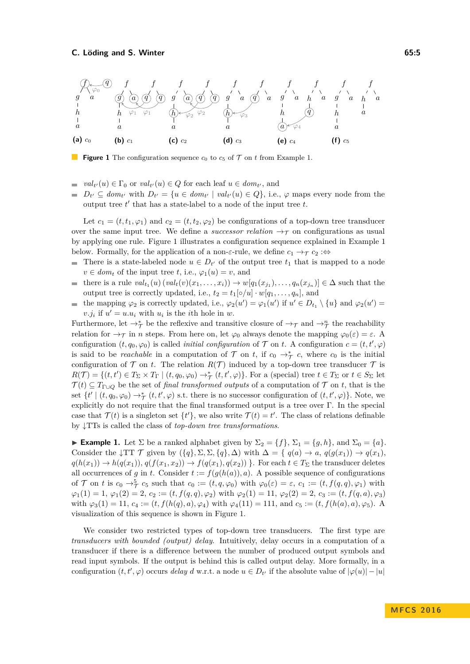<span id="page-4-1"></span>

**Figure 1** The configuration sequence  $c_0$  to  $c_5$  of  $\mathcal T$  on  $t$  from Example [1.](#page-4-0)

- $val_{t'}(u) \in \Gamma_0$  or  $val_{t'}(u) \in Q$  for each leaf  $u \in dom_{t'}$ , and  $\mathbf{r}$
- $D_{t'} \subseteq dom_{t'}$  with  $D_{t'} = \{u \in dom_{t'} \mid val_{t'}(u) \in Q\}$ , i.e.,  $\varphi$  maps every node from the output tree  $t'$  that has a state-label to a node of the input tree  $t$ .

Let  $c_1 = (t, t_1, \varphi_1)$  and  $c_2 = (t, t_2, \varphi_2)$  be configurations of a top-down tree transducer over the same input tree. We define a *successor relation*  $\rightarrow \tau$  on configurations as usual by applying one rule. Figure [1](#page-4-1) illustrates a configuration sequence explained in Example [1](#page-4-0) below. Formally, for the application of a non- $\varepsilon$ -rule, we define  $c_1 \rightarrow_\mathcal{T} c_2 : \Leftrightarrow$ 

- $\equiv$ There is a state-labeled node  $u \in D_{t'}$  of the output tree  $t_1$  that is mapped to a node  $v \in dom_t$  of the input tree *t*, i.e.,  $\varphi_1(u) = v$ , and
- there is a rule  $val_{t_1}(u)$   $(val_t(v)(x_1,...,x_i)) \rightarrow w[q_1(x_{j_1}),...,q_n(x_{j_n})] \in \Delta$  such that the  $\blacksquare$ output tree is correctly updated, i.e.,  $t_2 = t_1[\circ/u] \cdot w[q_1, \ldots, q_n]$ , and
- the mapping  $\varphi_2$  is correctly updated, i.e.,  $\varphi_2(u') = \varphi_1(u')$  if  $u' \in D_{t_1} \setminus \{u\}$  and  $\varphi_2(u') =$  $\sim$  $v.j_i$  if  $u' = u.u_i$  with  $u_i$  is the *i*th hole in *w*.

Furthermore, let  $\rightarrow_{\mathcal{T}}^*$  be the reflexive and transitive closure of  $\rightarrow_{\mathcal{T}}$  and  $\rightarrow_{\mathcal{T}}^n$  the reachability relation for  $\rightarrow$   $\tau$  in *n* steps. From here on, let  $\varphi_0$  always denote the mapping  $\varphi_0(\varepsilon) = \varepsilon$ . A configuration  $(t, q_0, \varphi_0)$  is called *initial configuration* of  $\mathcal T$  on  $t$ . A configuration  $c = (t, t', \varphi)$ is said to be *reachable* in a computation of  $\mathcal T$  on  $t$ , if  $c_0 \to^*_{\mathcal T} c$ , where  $c_0$  is the initial configuration of  $\mathcal T$  on *t*. The relation  $R(\mathcal T)$  induced by a top-down tree transducer  $\mathcal T$  is  $R(\mathcal{T}) = \{(t, t') \in T_\Sigma \times T_\Gamma \mid (t, q_0, \varphi_0) \to^*_{\mathcal{T}} (t, t', \varphi)\}.$  For a (special) tree  $t \in T_\Sigma$  or  $t \in S_\Sigma$  let  $\mathcal{T}(t) \subseteq T_{\Gamma \cup \mathcal{Q}}$  be the set of *final transformed outputs* of a computation of  $\mathcal{T}$  on *t*, that is the set  $\{t' \mid (t, q_0, \varphi_0) \rightarrow_\mathcal{T}^* (t, t', \varphi) \text{ s.t. there is no successor configuration of } (t, t', \varphi)\}.$  Note, we explicitly do not require that the final transformed output is a tree over Γ. In the special case that  $\mathcal{T}(t)$  is a singleton set  $\{t'\}$ , we also write  $\mathcal{T}(t) = t'$ . The class of relations definable by ↓TTs is called the class of *top-down tree transformations*.

<span id="page-4-0"></span>► **Example 1.** Let  $\Sigma$  be a ranked alphabet given by  $\Sigma_2 = \{f\}$ ,  $\Sigma_1 = \{g, h\}$ , and  $\Sigma_0 = \{a\}$ . Consider the  $\downarrow$ TT  $\mathcal{T}$  given by  $({q}, \Sigma, \Sigma, {q}, \Delta)$  with  $\Delta = {q}$   $q(a) \rightarrow a, q(g(x_1)) \rightarrow q(x_1)$ ,  $q(h(x_1)) \to h(q(x_1)), q(f(x_1, x_2)) \to f(q(x_1), q(x_2))$ . For each  $t \in T_\Sigma$  the transducer deletes all occurrences of *g* in *t*. Consider  $t := f(g(h(a)), a)$ . A possible sequence of configurations of T on t is  $c_0 \rightarrow_{\mathcal{T}}^5 c_5$  such that  $c_0 := (t, q, \varphi_0)$  with  $\varphi_0(\varepsilon) = \varepsilon$ ,  $c_1 := (t, f(q, q), \varphi_1)$  with  $\varphi_1(1) = 1, \, \varphi_1(2) = 2, \, c_2 := (t, f(q, q), \varphi_2) \text{ with } \varphi_2(1) = 11, \, \varphi_2(2) = 2, \, c_3 := (t, f(q, a), \varphi_3)$ with  $\varphi_3(1) = 11, c_4 := (t, f(h(q), a), \varphi_4)$  with  $\varphi_4(11) = 111$ , and  $c_5 := (t, f(h(a), a), \varphi_5)$ . A visualization of this sequence is shown in Figure [1.](#page-4-1)

We consider two restricted types of top-down tree transducers. The first type are *transducers with bounded (output) delay*. Intuitively, delay occurs in a computation of a transducer if there is a difference between the number of produced output symbols and read input symbols. If the output is behind this is called output delay. More formally, in a configuration  $(t, t', \varphi)$  occurs *delay*  $d$  w.r.t. a node  $u \in D_{t'}$  if the absolute value of  $|\varphi(u)| - |u|$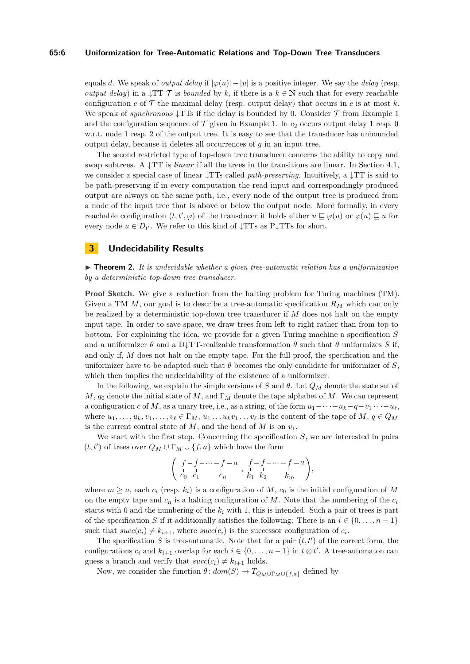#### **65:6 Uniformization for Tree-Automatic Relations and Top-Down Tree Transducers**

equals *d*. We speak of *output delay* if  $|\varphi(u)| - |u|$  is a positive integer. We say the *delay* (resp. *output delay*) in a  $\downarrow$ TT  $\mathcal T$  is *bounded* by *k*, if there is a  $k \in \mathbb N$  such that for every reachable configuration  $c$  of  $\mathcal T$  the maximal delay (resp. output delay) that occurs in  $c$  is at most  $k$ . We speak of *synchronous*  $\downarrow$ TTs if the delay is bounded by 0. Consider  $\mathcal T$  from Example [1](#page-4-0) and the configuration sequence of  $\mathcal T$  given in Example [1.](#page-4-0) In  $c_2$  occurs output delay 1 resp. 0 w.r.t. node 1 resp. 2 of the output tree. It is easy to see that the transducer has unbounded output delay, because it deletes all occurrences of *g* in an input tree.

The second restricted type of top-down tree transducer concerns the ability to copy and swap subtrees. A  $\downarrow$ TT is *linear* if all the trees in the transitions are linear. In Section [4.1,](#page-6-1) we consider a special case of linear ↓TTs called *path-preserving*. Intuitively, a ↓TT is said to be path-preserving if in every computation the read input and correspondingly produced output are always on the same path, i.e., every node of the output tree is produced from a node of the input tree that is above or below the output node. More formally, in every reachable configuration  $(t, t', \varphi)$  of the transducer it holds either  $u \sqsubseteq \varphi(u)$  or  $\varphi(u) \sqsubseteq u$  for every node  $u \in D_{t'}$ . We refer to this kind of  $\downarrow$ TTs as P $\downarrow$ TTs for short.

## <span id="page-5-0"></span>**3 Undecidability Results**

 $\triangleright$  **Theorem 2.** It is undecidable whether a given tree-automatic relation has a uniformization *by a deterministic top-down tree transducer.*

**Proof Sketch.** We give a reduction from the halting problem for Turing machines (TM). Given a TM *M*, our goal is to describe a tree-automatic specification *R<sup>M</sup>* which can only be realized by a deterministic top-down tree transducer if *M* does not halt on the empty input tape. In order to save space, we draw trees from left to right rather than from top to bottom. For explaining the idea, we provide for a given Turing machine a specification *S* and a uniformizer  $\theta$  and a D↓TT-realizable transformation  $\theta$  such that  $\theta$  uniformizes S if, and only if, *M* does not halt on the empty tape. For the full proof, the specification and the uniformizer have to be adapted such that  $\theta$  becomes the only candidate for uniformizer of *S*, which then implies the undecidability of the existence of a uniformizer.

In the following, we explain the simple versions of *S* and *θ*. Let *Q<sup>M</sup>* denote the state set of *M*, *q*<sup>0</sup> denote the initial state of *M*, and Γ*<sup>M</sup>* denote the tape alphabet of *M*. We can represent a configuration *c* of *M*, as a unary tree, i.e., as a string, of the form  $u_1 - \cdots - u_k - q - v_1 \cdots - u_\ell$ , where  $u_1, \ldots, u_k, v_1, \ldots, v_\ell \in \Gamma_M, u_1, \ldots, u_k v_1, \ldots, v_\ell$  is the content of the tape of *M*,  $q \in Q_M$ is the current control state of  $M$ , and the head of  $M$  is on  $v_1$ .

We start with the first step. Concerning the specification *S*, we are interested in pairs  $(t, t')$  of trees over  $Q_M \cup \Gamma_M \cup \{f, a\}$  which have the form

$$
\left(\begin{array}{ccc}f-f-\cdots-f-a&f-f-\cdots-f-a\\ c_0&c_1&c_n&\ddots&\vdots\\ c_0&c_1&c_n&\cdots&c_n\end{array}\right),
$$

where  $m \geq n$ , each  $c_i$  (resp.  $k_i$ ) is a configuration of *M*,  $c_0$  is the initial configuration of *M* on the empty tape and *c<sup>n</sup>* is a halting configuration of *M*. Note that the numbering of the *c<sup>i</sup>* starts with 0 and the numbering of the  $k_i$  with 1, this is intended. Such a pair of trees is part of the specification *S* if it additionally satisfies the following: There is an  $i \in \{0, \ldots, n-1\}$ such that  $succ(c_i) \neq k_{i+1}$ , where  $succ(c_i)$  is the successor configuration of  $c_i$ .

The specification  $S$  is tree-automatic. Note that for a pair  $(t, t')$  of the correct form, the configurations  $c_i$  and  $k_{i+1}$  overlap for each  $i \in \{0, \ldots, n-1\}$  in  $t \otimes t'$ . A tree-automaton can guess a branch and verify that  $succ(c_i) \neq k_{i+1}$  holds.

Now, we consider the function  $\theta$ :  $dom(S) \to T_{Q_M \cup \Gamma_M \cup \{f,a\}}$  defined by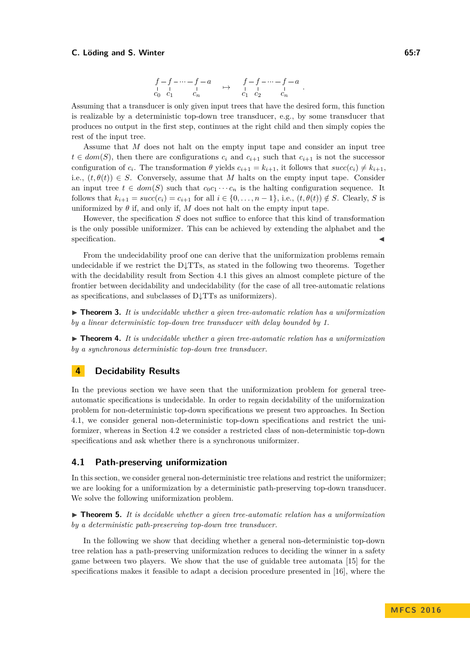#### **C.** Löding and S. Winter 65:7

$$
\begin{array}{ccccccccc} f-f-\cdots-f-a & & & f-f-\cdots-f-a \\ c_0 & c_1 & & c_n & & & c_1 & c_2 & & c_n \end{array}.
$$

Assuming that a transducer is only given input trees that have the desired form, this function is realizable by a deterministic top-down tree transducer, e.g., by some transducer that produces no output in the first step, continues at the right child and then simply copies the rest of the input tree.

Assume that *M* does not halt on the empty input tape and consider an input tree  $t \in dom(S)$ , then there are configurations  $c_i$  and  $c_{i+1}$  such that  $c_{i+1}$  is not the successor configuration of  $c_i$ . The transformation  $\theta$  yields  $c_{i+1} = k_{i+1}$ , it follows that  $succ(c_i) \neq k_{i+1}$ , i.e.,  $(t, \theta(t)) \in S$ . Conversely, assume that M halts on the empty input tape. Consider an input tree  $t \in dom(S)$  such that  $c_0c_1 \cdots c_n$  is the halting configuration sequence. It follows that  $k_{i+1} = succ(c_i) = c_{i+1}$  for all  $i \in \{0, \ldots, n-1\}$ , i.e.,  $(t, \theta(t)) \notin S$ . Clearly, *S* is uniformized by  $\theta$  if, and only if, M does not halt on the empty input tape.

However, the specification *S* does not suffice to enforce that this kind of transformation is the only possible uniformizer. This can be achieved by extending the alphabet and the specification.

From the undecidability proof one can derive that the uniformization problems remain undecidable if we restrict the D↓TTs, as stated in the following two theorems. Together with the decidability result from Section [4.1](#page-6-1) this gives an almost complete picture of the frontier between decidability and undecidability (for the case of all tree-automatic relations as specifications, and subclasses of D↓TTs as uniformizers).

 $\triangleright$  **Theorem 3.** It is undecidable whether a given tree-automatic relation has a uniformization *by a linear deterministic top-down tree transducer with delay bounded by 1.*

▶ **Theorem 4.** It is undecidable whether a given tree-automatic relation has a uniformization *by a synchronous deterministic top-down tree transducer.*

## <span id="page-6-0"></span>**4 Decidability Results**

In the previous section we have seen that the uniformization problem for general treeautomatic specifications is undecidable. In order to regain decidability of the uniformization problem for non-deterministic top-down specifications we present two approaches. In Section [4.1,](#page-6-1) we consider general non-deterministic top-down specifications and restrict the uniformizer, whereas in Section [4.2](#page-10-0) we consider a restricted class of non-deterministic top-down specifications and ask whether there is a synchronous uniformizer.

### <span id="page-6-1"></span>**4.1 Path-preserving uniformization**

In this section, we consider general non-deterministic tree relations and restrict the uniformizer; we are looking for a uniformization by a deterministic path-preserving top-down transducer. We solve the following uniformization problem.

<span id="page-6-2"></span>▶ **Theorem 5.** *It is decidable whether a given tree-automatic relation has a uniformization by a deterministic path-preserving top-down tree transducer.*

In the following we show that deciding whether a general non-deterministic top-down tree relation has a path-preserving uniformization reduces to deciding the winner in a safety game between two players. We show that the use of guidable tree automata [\[15\]](#page-12-13) for the specifications makes it feasible to adapt a decision procedure presented in [\[16\]](#page-13-4), where the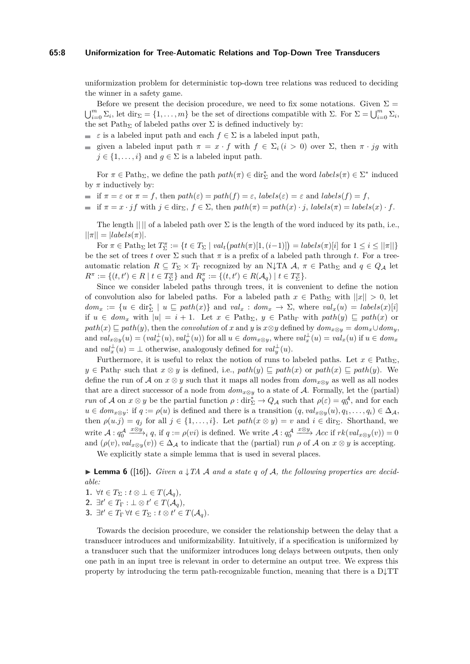#### **65:8 Uniformization for Tree-Automatic Relations and Top-Down Tree Transducers**

uniformization problem for deterministic top-down tree relations was reduced to deciding the winner in a safety game.

Before we present the decision procedure, we need to fix some notations. Given  $\Sigma =$  $\bigcup_{i=0}^{m} \Sigma_i$ , let dir  $\Sigma = \{1, \ldots, m\}$  be the set of directions compatible with  $\Sigma$ . For  $\Sigma = \bigcup_{i=0}^{m} \Sigma_i$ , the set  $\text{Path}_\Sigma$  of labeled paths over  $\Sigma$  is defined inductively by:

- *ε* is a labeled input path and each  $f \in \Sigma$  is a labeled input path,
- given a labeled input path  $\pi = x \cdot f$  with  $f \in \Sigma_i$  ( $i > 0$ ) over  $\Sigma$ , then  $\pi \cdot ig$  with  $j \in \{1, \ldots, i\}$  and  $q \in \Sigma$  is a labeled input path.

For  $\pi \in \text{Path}_{\Sigma}$ , we define the path  $path(\pi) \in \text{dir}_{\Sigma}^{*}$  and the word  $labels(\pi) \in \Sigma^{*}$  induced by  $\pi$  inductively by:

- if  $\pi = \varepsilon$  or  $\pi = f$ , then  $path(\varepsilon) = path(f) = \varepsilon$ ,  $labels(\varepsilon) = \varepsilon$  and  $labels(f) = f$ ,
- $\equiv$  if  $\pi = x \cdot \hat{i} f$  with  $\hat{i} \in \text{dir}_{\Sigma}$ ,  $f \in \Sigma$ , then  $path(\pi) = path(x) \cdot \hat{i}$ ,  $labels(\pi) = labels(x) \cdot \hat{f}$ .

The length  $|| \cdot ||$  of a labeled path over  $\Sigma$  is the length of the word induced by its path, i.e.,  $||\pi|| = |labels(\pi)|$ .

 $\text{For } \pi \in \text{Path}_{\Sigma} \text{ let } T_{\Sigma}^{\pi} := \{t \in T_{\Sigma} \mid val_t\big(\text{path}(\pi)[1,(i-1)]\big) = \text{labels}(\pi)[i] \text{ for } 1 \leq i \leq ||\pi||\}$ be the set of trees *t* over  $\Sigma$  such that  $\pi$  is a prefix of a labeled path through *t*. For a treeautomatic relation  $R \subseteq T_\Sigma \times T_\Gamma$  recognized by an N↓TA  $A, \pi \in \text{Path}_{\Sigma}$  and  $q \in Q_A$  let  $R^{\pi} := \{(t, t') \in R \mid t \in T_{\Sigma}^{\pi}\}\$ and  $R_q^{\pi} := \{(t, t') \in R(\mathcal{A}_q) \mid t \in T_{\Sigma}^{\pi}\}.$ 

Since we consider labeled paths through trees, it is convenient to define the notion of convolution also for labeled paths. For a labeled path  $x \in \text{Path}_{\Sigma}$  with  $||x|| > 0$ , let  $dom_x := \{u \in \text{dir}_{\Sigma}^* \mid u \sqsubseteq path(x)\}\$ and  $val_x : dom_x \to \Sigma$ , where  $val_x(u) = labels(x)[i]$ if  $u \in dom_x$  with  $|u| = i + 1$ . Let  $x \in Path_{\Sigma}$ ,  $y \in Path_{\Gamma}$  with  $path(y) \subseteq path(x)$  or  $path(x) \sqsubseteq path(y)$ , then the *convolution* of *x* and *y* is  $x \otimes y$  defined by  $dom_x \otimes y = dom_x \cup dom_y$ , and  $val_{x\otimes y}(u) = (val_x^{\perp}(u), val_y^{\perp}(u))$  for all  $u \in dom_{x\otimes y}$ , where  $val_x^{\perp}(u) = val_x(u)$  if  $u \in dom_x$ and  $val_x^{\perp}(u) = \perp$  otherwise, analogously defined for  $val_y^{\perp}(u)$ .

Furthermore, it is useful to relax the notion of runs to labeled paths. Let  $x \in \text{Path}_{\Sigma}$ ,  $y \in \text{Path}_{\Gamma}$  such that  $x \otimes y$  is defined, i.e.,  $path(y) \sqsubseteq path(x)$  or  $path(x) \sqsubseteq path(y)$ . We define the run of A on  $x \otimes y$  such that it maps all nodes from  $dom_{x \otimes y}$  as well as all nodes that are a direct successor of a node from  $dom_{x\otimes y}$  to a state of A. Formally, let the (partial) *run* of A on  $x \otimes y$  be the partial function  $\rho : \text{dir}_{\Sigma}^* \to Q_{\mathcal{A}}$  such that  $\rho(\varepsilon) = q_0^{\mathcal{A}}$ , and for each  $u \in dom_{x \otimes y}$ : if  $q := \rho(u)$  is defined and there is a transition  $(q, val_{x \otimes y}(u), q_1, \ldots, q_i) \in \Delta_A$ , then  $\rho(u.j) = q_j$  for all  $j \in \{1, \ldots, i\}$ . Let  $path(x \otimes y) = v$  and  $i \in \text{dir}_{\Sigma}$ . Shorthand, we write  $\mathcal{A}: q_0^{\mathcal{A}}$  $\frac{x\otimes y}{y}$ <sub>*i*</sub> *q*, if *q* := *ρ*(*vi*) is defined. We write *A* : *q*<sub>0</sub><sup>*A*</sup>  $\frac{x\otimes y}{f}$  *Acc* if  $rk(val_{x\otimes y}(v)) = 0$ and  $(\rho(v), val_{x\otimes y}(v)) \in \Delta_{\mathcal{A}}$  to indicate that the (partial) run  $\rho$  of  $\mathcal A$  on  $x\otimes y$  is accepting.

We explicitly state a simple lemma that is used in several places.

<span id="page-7-0"></span> $\blacktriangleright$  **Lemma 6** ([\[16\]](#page-13-4)). *Given a*  $\downarrow$  *TA A and a state q of A*, the following properties are decid*able:*

- 1.  $\forall t \in T_{\Sigma}: t \otimes \bot \in T(\mathcal{A}_q)$ ,
- **2.**  $\exists t' \in T_{\Gamma}: \bot \otimes t' \in T(\mathcal{A}_q)$ *,*
- **3.**  $\exists t' \in T_{\Gamma} \forall t \in T_{\Sigma} : t \otimes t' \in T(\mathcal{A}_q)$ .

Towards the decision procedure, we consider the relationship between the delay that a transducer introduces and uniformizability. Intuitively, if a specification is uniformized by a transducer such that the uniformizer introduces long delays between outputs, then only one path in an input tree is relevant in order to determine an output tree. We express this property by introducing the term path-recognizable function, meaning that there is a  $D\downarrow TT$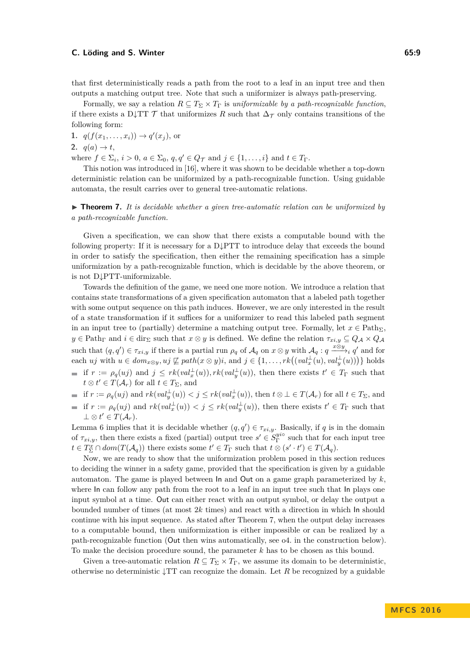#### **C. Löding and S. Winter 65:9**

that first deterministically reads a path from the root to a leaf in an input tree and then outputs a matching output tree. Note that such a uniformizer is always path-preserving.

Formally, we say a relation  $R \subseteq T_\Sigma \times T_\Gamma$  is *uniformizable by a path-recognizable function*, if there exists a D↓TT  $\mathcal T$  that uniformizes  $R$  such that  $\Delta_{\mathcal T}$  only contains transitions of the following form:

**1.**  $q(f(x_1,...,x_i)) \to q'(x_j)$ , or

2.  $q(a) \rightarrow t$ ,

where  $f \in \Sigma_i$ ,  $i > 0$ ,  $a \in \Sigma_0$ ,  $q, q' \in Q_{\mathcal{T}}$  and  $j \in \{1, \ldots, i\}$  and  $t \in T_{\Gamma}$ .

This notion was introduced in [\[16\]](#page-13-4), where it was shown to be decidable whether a top-down deterministic relation can be uniformized by a path-recognizable function. Using guidable automata, the result carries over to general tree-automatic relations.

## <span id="page-8-0"></span> $\triangleright$  **Theorem 7.** It is decidable whether a given tree-automatic relation can be uniformized by *a path-recognizable function.*

Given a specification, we can show that there exists a computable bound with the following property: If it is necessary for a D↓PTT to introduce delay that exceeds the bound in order to satisfy the specification, then either the remaining specification has a simple uniformization by a path-recognizable function, which is decidable by the above theorem, or is not D↓PTT-uniformizable.

Towards the definition of the game, we need one more notion. We introduce a relation that contains state transformations of a given specification automaton that a labeled path together with some output sequence on this path induces. However, we are only interested in the result of a state transformation if it suffices for a uniformizer to read this labeled path segment in an input tree to (partially) determine a matching output tree. Formally, let  $x \in \text{Path}_{\Sigma}$ ,  $y \in \text{Path}_{\Gamma}$  and  $i \in \text{dir}_{\Sigma}$  such that  $x \otimes y$  is defined. We define the relation  $\tau_{xi} \subseteq Q_{\mathcal{A}} \times Q_{\mathcal{A}}$ such that  $(q, q') \in \tau_{xi,y}$  if there is a partial run  $\rho_q$  of  $\mathcal{A}_q$  on  $x \otimes y$  with  $\mathcal{A}_q : q \xrightarrow{x \otimes y} q'$  and for each uj with  $u \in dom_{x \otimes y}$ ,  $uj \not\sqsubseteq path(x \otimes y)i$ , and  $j \in \{1, ..., rk((val_x^{\perp}(u), val_y^{\perp}(u)))\}$  holds if  $r := \rho_q(uj)$  and  $j \leq rk(val_x^{\perp}(u)), rk(val_y^{\perp}(u))$ , then there exists  $t' \in T_{\Gamma}$  such that

 $t \otimes t' \in T(\mathcal{A}_r)$  for all  $t \in T_{\Sigma}$ , and

if  $r := \rho_q(uj)$  and  $rk(val_y^{\perp}(u)) < j \leq rk(val_x^{\perp}(u))$ , then  $t \otimes \perp \in T(\mathcal{A}_r)$  for all  $t \in T_{\Sigma}$ , and

if  $r := \rho_q(uj)$  and  $rk(val_x^{\perp}(u)) < j \leq rk(val_y^{\perp}(u))$ , then there exists  $t' \in T_{\Gamma}$  such that  $\perp \otimes t' \in T(\mathcal{A}_r).$ 

Lemma [6](#page-7-0) implies that it is decidable whether  $(q, q') \in \tau_{xi,y}$ . Basically, if q is in the domain of  $\tau_{xi,y}$ , then there exists a fixed (partial) output tree  $s' \in S_{\Gamma}^{yio}$  such that for each input tree  $t \in T_{\Sigma}^{x} \cap dom(T(\mathcal{A}_{q}))$  there exists some  $t' \in T_{\Gamma}$  such that  $t \otimes (s' \cdot t') \in T(\mathcal{A}_{q})$ .

Now, we are ready to show that the uniformization problem posed in this section reduces to deciding the winner in a safety game, provided that the specification is given by a guidable automaton. The game is played between In and Out on a game graph parameterized by *k*, where In can follow any path from the root to a leaf in an input tree such that In plays one input symbol at a time. Out can either react with an output symbol, or delay the output a bounded number of times (at most 2*k* times) and react with a direction in which In should continue with his input sequence. As stated after Theorem [7,](#page-8-0) when the output delay increases to a computable bound, then uniformization is either impossible or can be realized by a path-recognizable function (Out then wins automatically, see o4. in the construction below). To make the decision procedure sound, the parameter *k* has to be chosen as this bound.

Given a tree-automatic relation  $R \subseteq T_\Sigma \times T_\Gamma$ , we assume its domain to be deterministic, otherwise no deterministic ↓TT can recognize the domain. Let *R* be recognized by a guidable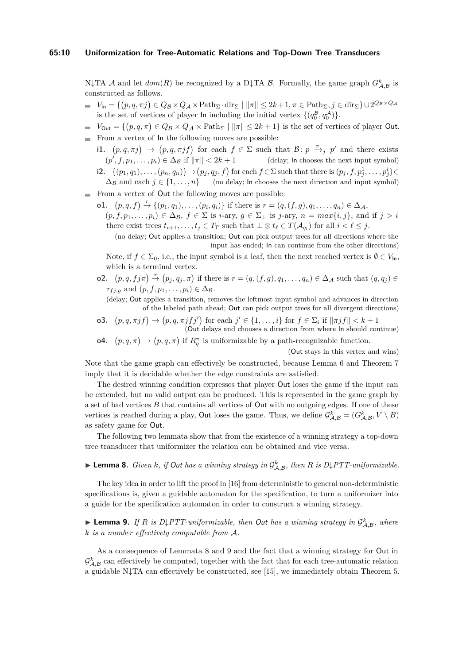#### **65:10 Uniformization for Tree-Automatic Relations and Top-Down Tree Transducers**

 $N\downarrow$ TA A and let  $dom(R)$  be recognized by a D $\downarrow$ TA B. Formally, the game graph  $G_{\mathcal{A},\mathcal{B}}^k$  is constructed as follows.

- $V_{\mathsf{In}} = \{ (p, q, \pi j) \in Q_{\mathcal{B}} \times Q_{\mathcal{A}} \times \text{Path}_{\Sigma} \cdot \text{dir}_{\Sigma} \mid \|\pi\| \leq 2k + 1, \pi \in \text{Path}_{\Sigma}, j \in \text{dir}_{\Sigma} \} \cup 2^{Q_{\mathcal{B}} \times Q_{\mathcal{A}}}$ is the set of vertices of player **ln** including the initial vertex  $\{(q_0^{\mathcal{B}}, q_0^{\mathcal{A}})\}.$
- $V_{\text{Out}} = \{(p, q, \pi) \in Q_B \times Q_A \times \text{Path}_{\Sigma} \mid ||\pi|| \leq 2k + 1\}$  is the set of vertices of player Out.
- $\blacksquare$  From a vertex of  $\blacksquare$  the following moves are possible:
	- **i1.**  $(p, q, \pi j) \rightarrow (p, q, \pi j f)$  for each  $f \in \Sigma$  such that  $\mathcal{B}: p \stackrel{\pi}{\rightarrow} j p'$  and there exists  $(p^{\prime})$ *(delay; In chooses the next input symbol)* i2.  $\{(p_1,q_1),\ldots,(p_n,q_n)\}\rightarrow(p_j,q_j,f)$  for each  $f\in\Sigma$  such that there is  $(p_j,f,p_j^1,\ldots,p_j^i)\in$  $\Delta_B$  and each  $j \in \{1, ..., n\}$  (no delay; In chooses the next direction and input symbol)
- From a vertex of Out the following moves are possible:  $\overline{\phantom{a}}$ 
	- **o1.**  $(p, q, f) \stackrel{r}{\to} \{(p_1, q_1), \ldots, (p_i, q_i)\}$  if there is  $r = (q, (f, g), q_1, \ldots, q_n) \in \Delta_A$ ,  $(p, f, p_1, \ldots, p_i) \in \Delta_B$ ,  $f \in \Sigma$  is *i*-ary,  $g \in \Sigma_{\perp}$  is *j*-ary,  $n = max\{i, j\}$ , and if  $j > i$ there exist trees  $t_{i+1}, \ldots, t_j \in T_{\Gamma}$  such that  $\bot \otimes t_{\ell} \in T(\mathcal{A}_{q_l})$  for all  $i < \ell \leq j$ .

(no delay; Out applies a transition; Out can pick output trees for all directions where the input has ended; In can continue from the other directions)

Note, if  $f \in \Sigma_0$ , i.e., the input symbol is a leaf, then the next reached vertex is  $\emptyset \in V_{\text{In}}$ , which is a terminal vertex.

- **o2.**  $(p, q, f \, j\pi) \stackrel{r}{\rightarrow} (p_j, q_j, \pi)$  if there is  $r = (q, (f, g), q_1, \ldots, q_n) \in \Delta_{\mathcal{A}}$  such that  $(q, q_j) \in$  $\tau_{f,i,g}$  and  $(p, f, p_1, \ldots, p_i) \in \Delta_{\mathcal{B}}$ .
	- (delay; Out applies a transition, removes the leftmost input symbol and advances in direction of the labeled path ahead; Out can pick output trees for all divergent directions)
- **o3.**  $(p, q, \pi j f) \to (p, q, \pi j f j')$  for each  $j' \in \{1, ..., i\}$  for  $f \in \Sigma_i$  if  $\|\pi j f\| < k + 1$ (Out delays and chooses a direction from where In should continue)
- **o4.**  $(p,q,\pi) \to (p,q,\pi)$  if  $R_q^{\pi}$  is uniformizable by a path-recognizable function.

(Out stays in this vertex and wins)

Note that the game graph can effectively be constructed, because Lemma [6](#page-7-0) and Theorem [7](#page-8-0) imply that it is decidable whether the edge constraints are satisfied.

The desired winning condition expresses that player Out loses the game if the input can be extended, but no valid output can be produced. This is represented in the game graph by a set of bad vertices *B* that contains all vertices of Out with no outgoing edges. If one of these vertices is reached during a play, Out loses the game. Thus, we define  $\mathcal{G}^k_{\mathcal{A},\mathcal{B}} = (G^k_{\mathcal{A},\mathcal{B}}, V \setminus B)$ as safety game for Out.

The following two lemmata show that from the existence of a winning strategy a top-down tree transducer that uniformizer the relation can be obtained and vice versa.

# <span id="page-9-0"></span> $\blacktriangleright$  **Lemma 8.** *Given k, if Out has a winning strategy in*  $\mathcal{G}^k_{A,B}$ *, then R is D*\*PTT-uniformizable.*

The key idea in order to lift the proof in [\[16\]](#page-13-4) from deterministic to general non-deterministic specifications is, given a guidable automaton for the specification, to turn a uniformizer into a guide for the specification automaton in order to construct a winning strategy.

<span id="page-9-1"></span>**Lemma 9.** If R is D\PTT-uniformizable, then Out has a winning strategy in  $\mathcal{G}^k_{A,B}$ , where *k is a number effectively computable from* A*.*

As a consequence of Lemmata [8](#page-9-0) and [9](#page-9-1) and the fact that a winning strategy for Out in  $\mathcal{G}_{\mathcal{A},\mathcal{B}}^k$  can effectively be computed, together with the fact that for each tree-automatic relation a guidable N↓TA can effectively be constructed, see [\[15\]](#page-12-13), we immediately obtain Theorem [5.](#page-6-2)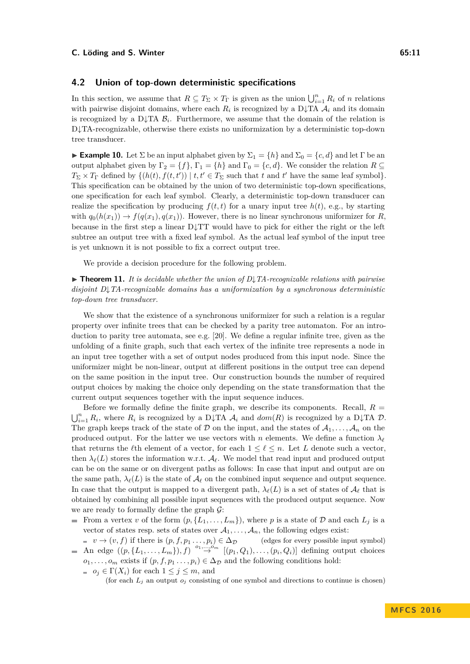## <span id="page-10-0"></span>**4.2 Union of top-down deterministic specifications**

In this section, we assume that  $R \subseteq T_\Sigma \times T_\Gamma$  is given as the union  $\bigcup_{i=1}^n R_i$  of *n* relations with pairwise disjoint domains, where each  $R_i$  is recognized by a D $\downarrow$ TA  $A_i$  and its domain is recognized by a D $\downarrow$ TA  $\mathcal{B}_i$ . Furthermore, we assume that the domain of the relation is D↓TA-recognizable, otherwise there exists no uniformization by a deterministic top-down tree transducer.

**Example 10.** Let  $\Sigma$  be an input alphabet given by  $\Sigma_1 = \{h\}$  and  $\Sigma_0 = \{c, d\}$  and let  $\Gamma$  be an output alphabet given by  $\Gamma_2 = \{f\}$ ,  $\Gamma_1 = \{h\}$  and  $\Gamma_0 = \{c, d\}$ . We consider the relation  $R \subseteq$  $T_{\Sigma} \times T_{\Gamma}$  defined by  $\{(h(t), f(t, t')) \mid t, t' \in T_{\Sigma} \text{ such that } t \text{ and } t' \text{ have the same leaf symbol}\}.$ This specification can be obtained by the union of two deterministic top-down specifications, one specification for each leaf symbol. Clearly, a deterministic top-down transducer can realize the specification by producing  $f(t, t)$  for a unary input tree  $h(t)$ , e.g., by starting with  $q_0(h(x_1)) \to f(q(x_1), q(x_1))$ . However, there is no linear synchronous uniformizer for *R*, because in the first step a linear D↓TT would have to pick for either the right or the left subtree an output tree with a fixed leaf symbol. As the actual leaf symbol of the input tree is yet unknown it is not possible to fix a correct output tree.

We provide a decision procedure for the following problem.

<span id="page-10-1"></span>I **Theorem 11.** *It is decidable whether the union of D*↓*TA-recognizable relations with pairwise disjoint D*↓*TA-recognizable domains has a uniformization by a synchronous deterministic top-down tree transducer.*

We show that the existence of a synchronous uniformizer for such a relation is a regular property over infinite trees that can be checked by a parity tree automaton. For an introduction to parity tree automata, see e.g. [\[20\]](#page-13-5). We define a regular infinite tree, given as the unfolding of a finite graph, such that each vertex of the infinite tree represents a node in an input tree together with a set of output nodes produced from this input node. Since the uniformizer might be non-linear, output at different positions in the output tree can depend on the same position in the input tree. Our construction bounds the number of required output choices by making the choice only depending on the state transformation that the current output sequences together with the input sequence induces.

Before we formally define the finite graph, we describe its components. Recall,  $R =$  $\bigcup_{i=1}^n R_i$ , where  $R_i$  is recognized by a D↓TA  $A_i$  and  $dom(R)$  is recognized by a D↓TA  $\mathcal D$ . The graph keeps track of the state of D on the input, and the states of  $A_1, \ldots, A_n$  on the produced output. For the latter we use vectors with *n* elements. We define a function  $\lambda_{\ell}$ that returns the *l*<sup>th</sup> element of a vector, for each  $1 \leq \ell \leq n$ . Let *L* denote such a vector, then  $\lambda_{\ell}(L)$  stores the information w.r.t.  $\mathcal{A}_{\ell}$ . We model that read input and produced output can be on the same or on divergent paths as follows: In case that input and output are on the same path,  $\lambda_{\ell}(L)$  is the state of  $\mathcal{A}_{\ell}$  on the combined input sequence and output sequence. In case that the output is mapped to a divergent path,  $\lambda_{\ell}(L)$  is a set of states of  $\mathcal{A}_{\ell}$  that is obtained by combining all possible input sequences with the produced output sequence. Now we are ready to formally define the graph  $\mathcal{G}$ :

- From a vertex *v* of the form  $(p, \{L_1, \ldots, L_m\})$ , where *p* is a state of *D* and each  $L_j$  is a vector of states resp. sets of states over  $A_1, \ldots, A_n$ , the following edges exist:
- $v \to (v, f)$  if there is  $(p, f, p_1 \dots, p_i) \in \Delta_{\mathcal{D}}$  (edges for every possible input symbol) An edge  $((p, {L_1, \ldots, L_m}), f) \stackrel{o_1, \ldots, o_m}{\rightarrow} [(p_1, Q_1), \ldots, (p_i, Q_i)]$  defining output choices  $o_1, \ldots, o_m$  exists if  $(p, f, p_1, \ldots, p_i) \in \Delta_{\mathcal{D}}$  and the following conditions hold:
	- $o_j \in \Gamma(X_i)$  for each  $1 \leq j \leq m$ , and

(for each  $L_j$  an output  $o_j$  consisting of one symbol and directions to continue is chosen)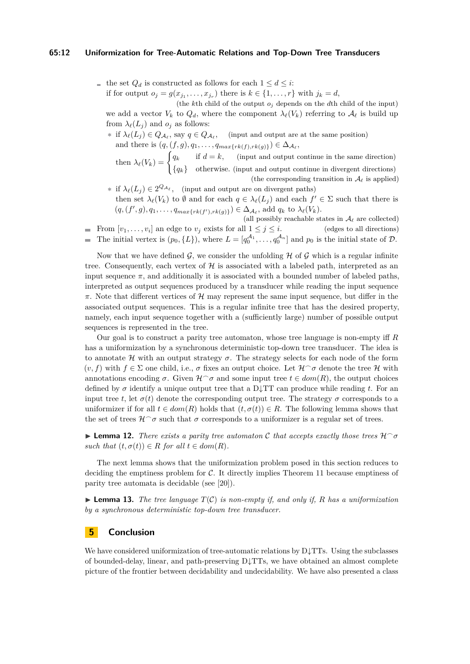#### **65:12 Uniformization for Tree-Automatic Relations and Top-Down Tree Transducers**

■ the set  $Q_d$  is constructed as follows for each  $1 \le d \le i$ : if for output  $o_j = g(x_{j_1}, \ldots, x_{j_r})$  there is  $k \in \{1, \ldots, r\}$  with  $j_k = d$ , (the *k*th child of the output *o<sup>j</sup>* depends on the *d*th child of the input)

we add a vector  $V_k$  to  $Q_d$ , where the component  $\lambda_{\ell}(V_k)$  referring to  $\mathcal{A}_{\ell}$  is build up from  $\lambda_{\ell}(L_j)$  and  $o_j$  as follows:

**∗** if  $\lambda_{\ell}(L_j) \in Q_{\mathcal{A}_{\ell}}$ , say  $q \in Q_{\mathcal{A}_{\ell}}$ , (input and output are at the same position) and there is  $(q, (f, g), q_1, \ldots, q_{max\{rk(f), rk(g)\}}) \in \Delta_{\mathcal{A}_{\ell}},$ 

then  $\lambda_{\ell}(V_k) = \begin{cases} q_k & \text{if } d = k, \\ 0 & \text{otherwise} \end{cases}$  (input and output continue in the same direction) {*qk*} otherwise*.* (input and output continue in divergent directions) (the corresponding transition in  $\mathcal{A}_{\ell}$  is applied)

- **∗** if  $\lambda_{\ell}(L_j) \in 2^{Q_{\mathcal{A}_{\ell}}}$ , (input and output are on divergent paths) then set  $\lambda_{\ell}(V_k)$  to  $\emptyset$  and for each  $q \in \lambda_{\ell}(L_j)$  and each  $f' \in \Sigma$  such that there is  $(q, (f', g), q_1, \ldots, q_{max\{rk(f'), rk(g)\}}) \in \Delta_{\mathcal{A}_{\ell}}$ , add  $q_k$  to  $\lambda_{\ell}(V_k)$ .
- (all possibly reachable states in  $A_\ell$  are collected) From  $[v_1, \ldots, v_i]$  an edge to  $v_j$  exists for all  $1 \leq j \leq i$ . (edges to all directions) The initial vertex is  $(p_0, \{L\})$ , where  $L = [q_0^{A_1}, \ldots, q_0^{A_n}]$  and  $p_0$  is the initial state of  $D$ .  $\bar{a}$

Now that we have defined G, we consider the unfolding  $H$  of G which is a regular infinite tree. Consequently, each vertex of  $\mathcal H$  is associated with a labeled path, interpreted as an input sequence  $\pi$ , and additionally it is associated with a bounded number of labeled paths, interpreted as output sequences produced by a transducer while reading the input sequence  $\pi$ . Note that different vertices of  $\mathcal{H}$  may represent the same input sequence, but differ in the associated output sequences. This is a regular infinite tree that has the desired property, namely, each input sequence together with a (sufficiently large) number of possible output sequences is represented in the tree.

Our goal is to construct a parity tree automaton, whose tree language is non-empty iff *R* has a uniformization by a synchronous deterministic top-down tree transducer. The idea is to annotate  $H$  with an output strategy  $\sigma$ . The strategy selects for each node of the form  $(v, f)$  with  $f \in \Sigma$  one child, i.e.,  $\sigma$  fixes an output choice. Let  $\mathcal{H} \cap \sigma$  denote the tree H with annotations encoding  $\sigma$ . Given  $\mathcal{H} \circ \sigma$  and some input tree  $t \in dom(R)$ , the output choices defined by  $\sigma$  identify a unique output tree that a D<sub>↓</sub>TT can produce while reading t. For an input tree *t*, let  $\sigma(t)$  denote the corresponding output tree. The strategy  $\sigma$  corresponds to a uniformizer if for all  $t \in dom(R)$  holds that  $(t, \sigma(t)) \in R$ . The following lemma shows that the set of trees  $\mathcal{H}^{\frown} \sigma$  such that  $\sigma$  corresponds to a uniformizer is a regular set of trees.

**I Lemma 12.** *There exists a parity tree automaton* C *that accepts exactly those trees*  $H^{\frown} \sigma$ *such that*  $(t, \sigma(t)) \in R$  *for all*  $t \in dom(R)$ *.* 

The next lemma shows that the uniformization problem posed in this section reduces to deciding the emptiness problem for  $C$ . It directly implies Theorem [11](#page-10-1) because emptiness of parity tree automata is decidable (see [\[20\]](#page-13-5)).

 $\blacktriangleright$  **Lemma 13.** The tree language  $T(\mathcal{C})$  is non-empty if, and only if, R has a uniformization *by a synchronous deterministic top-down tree transducer.*

# **5 Conclusion**

We have considered uniformization of tree-automatic relations by  $D\downarrow TTs$ . Using the subclasses of bounded-delay, linear, and path-preserving  $D_{\rm{v}}TTs$ , we have obtained an almost complete picture of the frontier between decidability and undecidability. We have also presented a class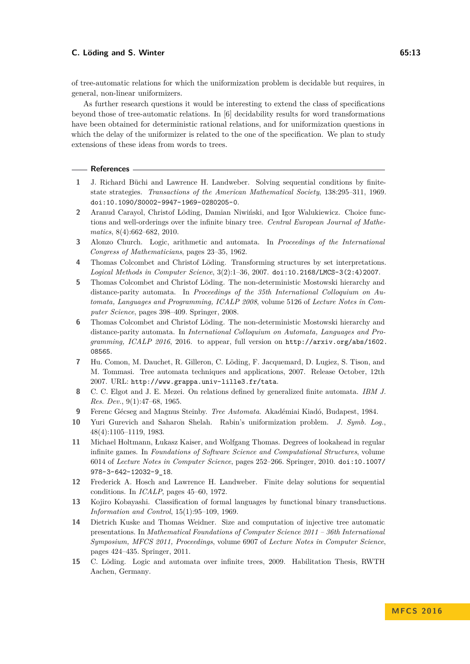#### **C. Löding and S. Winter 65:13**

As further research questions it would be interesting to extend the class of specifications beyond those of tree-automatic relations. In [\[6\]](#page-12-10) decidability results for word transformations have been obtained for deterministic rational relations, and for uniformization questions in which the delay of the uniformizer is related to the one of the specification. We plan to study extensions of these ideas from words to trees.

#### **References**

- <span id="page-12-7"></span>**1** J. Richard Büchi and Lawrence H. Landweber. Solving sequential conditions by finitestate strategies. *Transactions of the American Mathematical Society*, 138:295–311, 1969. [doi:10.1090/S0002-9947-1969-0280205-0](http://dx.doi.org/10.1090/S0002-9947-1969-0280205-0).
- <span id="page-12-3"></span>**2** Aranud Carayol, Christof Löding, Damian Niwiński, and Igor Walukiewicz. Choice functions and well-orderings over the infinite binary tree. *Central European Journal of Mathematics*, 8(4):662–682, 2010.
- <span id="page-12-6"></span>**3** Alonzo Church. Logic, arithmetic and automata. In *Proceedings of the International Congress of Mathematicians*, pages 23–35, 1962.
- <span id="page-12-5"></span>**4** Thomas Colcombet and Christof Löding. Transforming structures by set interpretations. *Logical Methods in Computer Science*, 3(2):1–36, 2007. [doi:10.2168/LMCS-3\(2:4\)2007](http://dx.doi.org/10.2168/LMCS-3(2:4)2007).
- <span id="page-12-12"></span>**5** Thomas Colcombet and Christof Löding. The non-deterministic Mostowski hierarchy and distance-parity automata. In *Proceedings of the 35th International Colloquium on Automata, Languages and Programming, ICALP 2008*, volume 5126 of *Lecture Notes in Computer Science*, pages 398–409. Springer, 2008.
- <span id="page-12-10"></span>**6** Thomas Colcombet and Christof Löding. The non-deterministic Mostowski hierarchy and distance-parity automata. In *International Colloquium on Automata, Languages and Programming, ICALP 2016*, 2016. to appear, full version on [http://arxiv.org/abs/1602.](http://arxiv.org/abs/1602.08565) [08565](http://arxiv.org/abs/1602.08565).
- <span id="page-12-11"></span>**7** Hu. Comon, M. Dauchet, R. Gilleron, C. Löding, F. Jacquemard, D. Lugiez, S. Tison, and M. Tommasi. Tree automata techniques and applications, 2007. Release October, 12th 2007. URL: <http://www.grappa.univ-lille3.fr/tata>.
- <span id="page-12-0"></span>**8** C. C. Elgot and J. E. Mezei. On relations defined by generalized finite automata. *IBM J. Res. Dev.*, 9(1):47–68, 1965.
- <span id="page-12-14"></span>**9** Ferenc Gécseg and Magnus Steinby. *Tree Automata*. Akadémiai Kiadó, Budapest, 1984.
- <span id="page-12-2"></span>**10** Yuri Gurevich and Saharon Shelah. Rabin's uniformization problem. *J. Symb. Log.*, 48(4):1105–1119, 1983.
- <span id="page-12-9"></span>**11** Michael Holtmann, Łukasz Kaiser, and Wolfgang Thomas. Degrees of lookahead in regular infinite games. In *Foundations of Software Science and Computational Structures*, volume 6014 of *Lecture Notes in Computer Science*, pages 252–266. Springer, 2010. [doi:10.1007/](http://dx.doi.org/10.1007/978-3-642-12032-9_18) [978-3-642-12032-9\\_18](http://dx.doi.org/10.1007/978-3-642-12032-9_18).
- <span id="page-12-8"></span>**12** Frederick A. Hosch and Lawrence H. Landweber. Finite delay solutions for sequential conditions. In *ICALP*, pages 45–60, 1972.
- <span id="page-12-1"></span>**13** Kojiro Kobayashi. Classification of formal languages by functional binary transductions. *Information and Control*, 15(1):95–109, 1969.
- <span id="page-12-4"></span>**14** Dietrich Kuske and Thomas Weidner. Size and computation of injective tree automatic presentations. In *Mathematical Foundations of Computer Science 2011 – 36th International Symposium, MFCS 2011, Proceedings*, volume 6907 of *Lecture Notes in Computer Science*, pages 424–435. Springer, 2011.
- <span id="page-12-13"></span>**15** C. Löding. Logic and automata over infinite trees, 2009. Habilitation Thesis, RWTH Aachen, Germany.